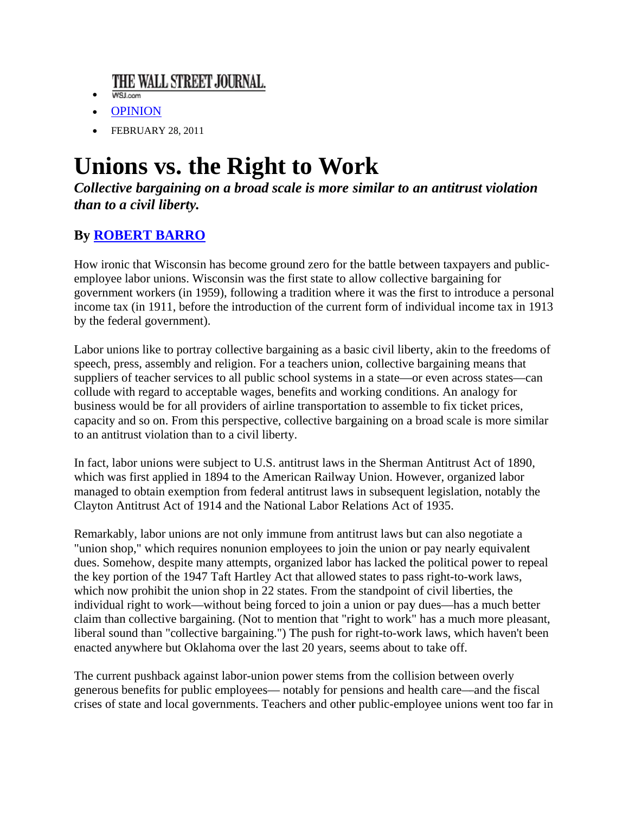## THE WALL STREET JOURNAL.

- WSJ.com
- OPINION
- $\bullet$  FEBRUARY 28, 2011

## **Unions vs. the Right to Work**

Collective bargaining on a broad scale is more similar to an antitrust violation than to a civil liberty.

## **By ROBERT BARRO**

How ironic that Wisconsin has become ground zero for the battle between taxpayers and publicemployee labor unions. Wisconsin was the first state to allow collective bargaining for government workers (in 1959), following a tradition where it was the first to introduce a personal income tax (in 1911, before the introduction of the current form of individual income tax in 1913 by the federal government).

Labor unions like to portray collective bargaining as a basic civil liberty, akin to the freedoms of speech, press, assembly and religion. For a teachers union, collective bargaining means that suppliers of teacher services to all public school systems in a state—or even across states—can collude with regard to acceptable wages, benefits and working conditions. An analogy for business would be for all providers of airline transportation to assemble to fix ticket prices, capacity and so on. From this perspective, collective bargaining on a broad scale is more similar to an antitrust violation than to a civil liberty.

In fact, labor unions were subject to U.S. antitrust laws in the Sherman Antitrust Act of 1890, which was first applied in 1894 to the American Railway Union. However, organized labor managed to obtain exemption from federal antitrust laws in subsequent legislation, notably the Clayton Antitrust Act of 1914 and the National Labor Relations Act of 1935.

Remarkably, labor unions are not only immune from antitrust laws but can also negotiate a "union shop," which requires nonunion employees to join the union or pay nearly equivalent dues. Somehow, despite many attempts, organized labor has lacked the political power to repeal the key portion of the 1947 Taft Hartley Act that allowed states to pass right-to-work laws, which now prohibit the union shop in 22 states. From the standpoint of civil liberties, the individual right to work—without being forced to join a union or pay dues—has a much better claim than collective bargaining. (Not to mention that "right to work" has a much more pleasant, liberal sound than "collective bargaining.") The push for right-to-work laws, which haven't been enacted anywhere but Oklahoma over the last 20 years, seems about to take off.

The current pushback against labor-union power stems from the collision between overly generous benefits for public employees— notably for pensions and health care—and the fiscal crises of state and local governments. Teachers and other public-employee unions went too far in